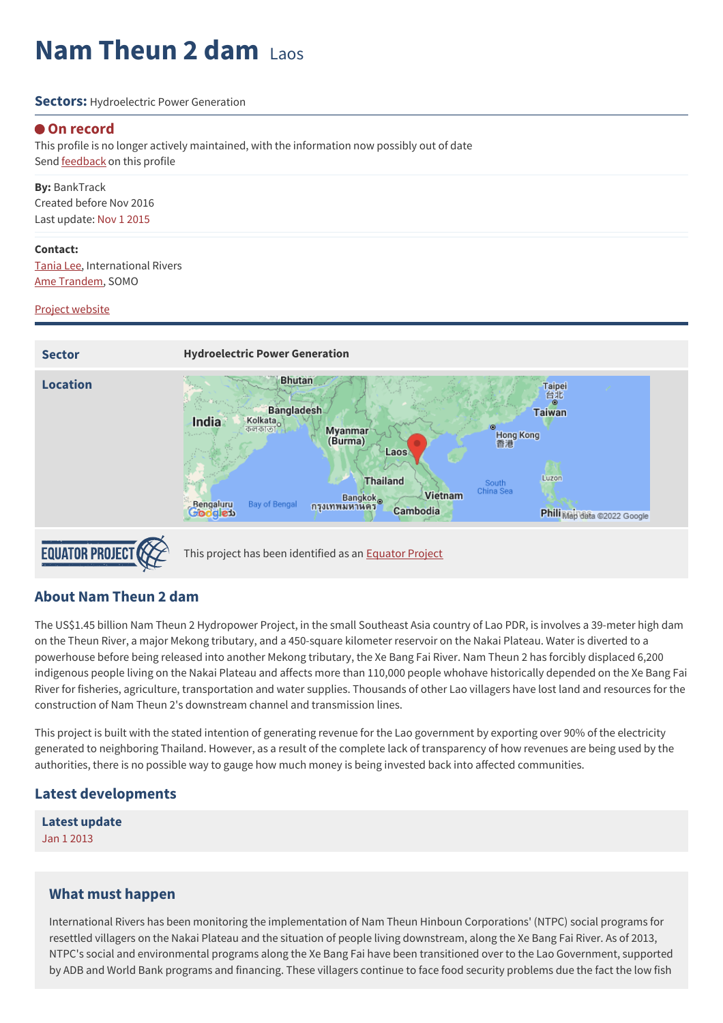# **Nam Theun 2 dam** Laos

#### **Sectors:** Hydroelectric Power Generation

#### **On record**

This profile is no longer actively maintained, with the information now possibly out of date Send **[feedback](https://www.banktrack.org/feedback/dodgydeal/nam_theun_2_dam)** on this profile

**By:** BankTrack Created before Nov 2016 Last update: Nov 1 2015

#### **Contact:**

[Tania](mailto:tlee@internationalrivers.org) Lee, International Rivers Ame [Trandem,](mailto:a.trandem@somo.org) SOMO

#### Project website



## **About Nam Theun 2 dam**

The US\$1.45 billion Nam Theun 2 Hydropower Project, in the small Southeast Asia country of Lao PDR, is involves a 39-meter high dam on the Theun River, a major Mekong tributary, and a 450-square kilometer reservoir on the Nakai Plateau. Water is diverted to a powerhouse before being released into another Mekong tributary, the Xe Bang Fai River. Nam Theun 2 has forcibly displaced 6,200 indigenous people living on the Nakai Plateau and affects more than 110,000 people whohave historically depended on the Xe Bang Fai River for fisheries, agriculture, transportation and water supplies. Thousands of other Lao villagers have lost land and resources for the construction of Nam Theun 2's downstream channel and transmission lines.

This project is built with the stated intention of generating revenue for the Lao government by exporting over 90% of the electricity generated to neighboring Thailand. However, as a result of the complete lack of transparency of how revenues are being used by the authorities, there is no possible way to gauge how much money is being invested back into affected communities.

## **Latest developments**

**Latest [update](javascript:void(0))** Jan 1 2013

### **What must happen**

International Rivers has been monitoring the implementation of Nam Theun Hinboun Corporations' (NTPC) social programs for resettled villagers on the Nakai Plateau and the situation of people living downstream, along the Xe Bang Fai River. As of 2013, NTPC's social and environmental programs along the Xe Bang Fai have been transitioned over to the Lao Government, supported by ADB and World Bank programs and financing. These villagers continue to face food security problems due the fact the low fish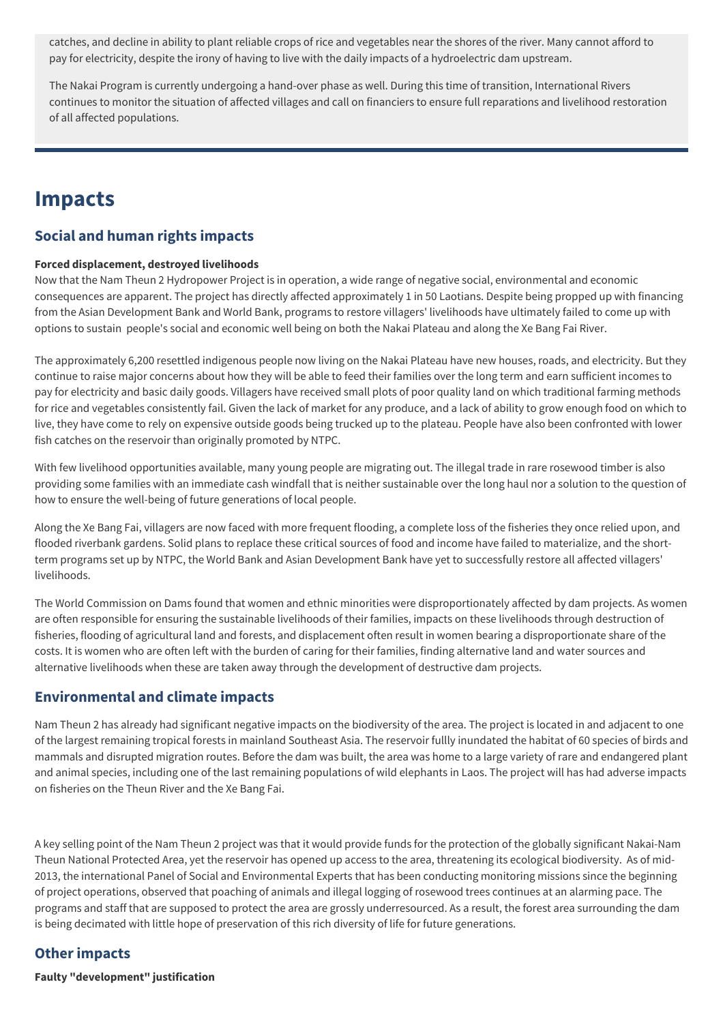catches, and decline in ability to plant reliable crops of rice and vegetables near the shores of the river. Many cannot afford to pay for electricity, despite the irony of having to live with the daily impacts of a hydroelectric dam upstream.

The Nakai Program is currently undergoing a hand-over phase as well. During this time of transition, International Rivers continues to monitor the situation of affected villages and call on financiers to ensure full reparations and livelihood restoration of all affected populations.

## **Impacts**

### **Social and human rights impacts**

#### **Forced displacement, destroyed livelihoods**

Now that the Nam Theun 2 Hydropower Project is in operation, a wide range of negative social, environmental and economic consequences are apparent. The project has directly affected approximately 1 in 50 Laotians. Despite being propped up with financing from the Asian Development Bank and World Bank, programs to restore villagers' livelihoods have ultimately failed to come up with options to sustain people's social and economic well being on both the Nakai Plateau and along the Xe Bang Fai River.

The approximately 6,200 resettled indigenous people now living on the Nakai Plateau have new houses, roads, and electricity. But they continue to raise major concerns about how they will be able to feed their families over the long term and earn sufficient incomes to pay for electricity and basic daily goods. Villagers have received small plots of poor quality land on which traditional farming methods for rice and vegetables consistently fail. Given the lack of market for any produce, and a lack of ability to grow enough food on which to live, they have come to rely on expensive outside goods being trucked up to the plateau. People have also been confronted with lower fish catches on the reservoir than originally promoted by NTPC.

With few livelihood opportunities available, many young people are migrating out. The illegal trade in rare rosewood timber is also providing some families with an immediate cash windfall that is neither sustainable over the long haul nor a solution to the question of how to ensure the well-being of future generations of local people.

Along the Xe Bang Fai, villagers are now faced with more frequent flooding, a complete loss of the fisheries they once relied upon, and flooded riverbank gardens. Solid plans to replace these critical sources of food and income have failed to materialize, and the shortterm programs set up by NTPC, the World Bank and Asian Development Bank have yet to successfully restore all affected villagers' livelihoods.

The World Commission on Dams found that women and ethnic minorities were disproportionately affected by dam projects. As women are often responsible for ensuring the sustainable livelihoods of their families, impacts on these livelihoods through destruction of fisheries, flooding of agricultural land and forests, and displacement often result in women bearing a disproportionate share of the costs. It is women who are often left with the burden of caring for their families, finding alternative land and water sources and alternative livelihoods when these are taken away through the development of destructive dam projects.

### **Environmental and climate impacts**

Nam Theun 2 has already had significant negative impacts on the biodiversity of the area. The project is located in and adjacent to one of the largest remaining tropical forests in mainland Southeast Asia. The reservoir fullly inundated the habitat of 60 species of birds and mammals and disrupted migration routes. Before the dam was built, the area was home to a large variety of rare and endangered plant and animal species, including one of the last remaining populations of wild elephants in Laos. The project will has had adverse impacts on fisheries on the Theun River and the Xe Bang Fai.

A key selling point of the Nam Theun 2 project was that it would provide funds for the protection of the globally significant Nakai-Nam Theun National Protected Area, yet the reservoir has opened up access to the area, threatening its ecological biodiversity. As of mid-2013, the international Panel of Social and Environmental Experts that has been conducting monitoring missions since the beginning of project operations, observed that poaching of animals and illegal logging of rosewood trees continues at an alarming pace. The programs and staff that are supposed to protect the area are grossly underresourced. As a result, the forest area surrounding the dam is being decimated with little hope of preservation of this rich diversity of life for future generations.

### **Other impacts**

**Faulty "development" justification**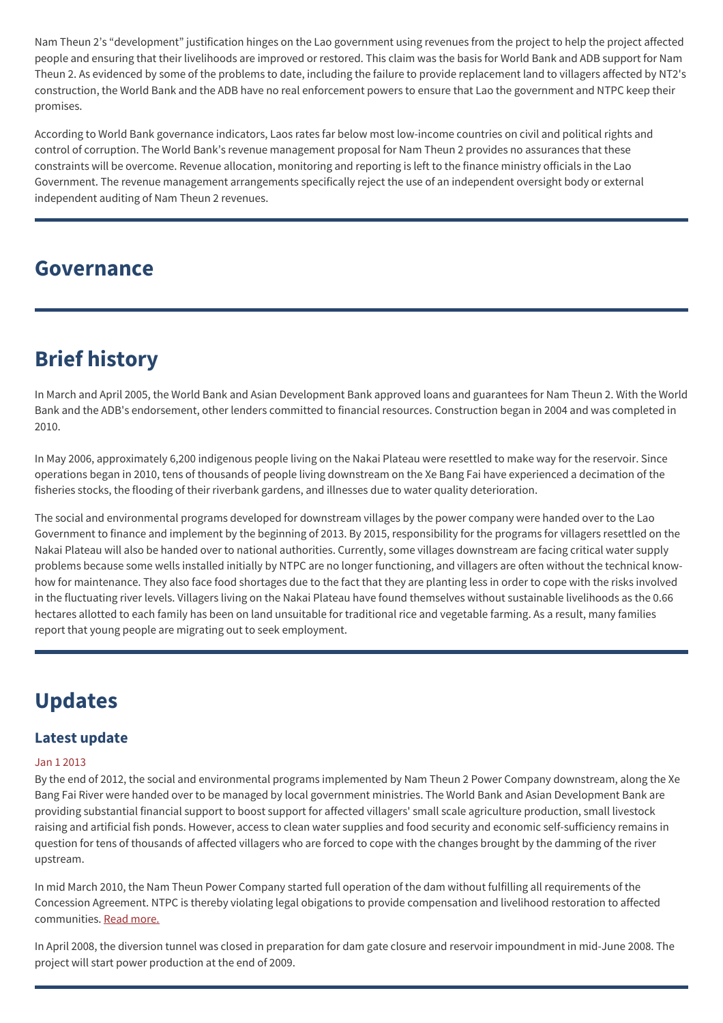Nam Theun 2's "development" justification hinges on the Lao government using revenues from the project to help the project affected people and ensuring that their livelihoods are improved or restored. This claim was the basis for World Bank and ADB support for Nam Theun 2. As evidenced by some of the problems to date, including the failure to provide replacement land to villagers affected by NT2's construction, the World Bank and the ADB have no real enforcement powers to ensure that Lao the government and NTPC keep their promises.

According to World Bank governance indicators, Laos rates far below most low-income countries on civil and political rights and control of corruption. The World Bank's revenue management proposal for Nam Theun 2 provides no assurances that these constraints will be overcome. Revenue allocation, monitoring and reporting is left to the finance ministry officials in the Lao Government. The revenue management arrangements specifically reject the use of an independent oversight body or external independent auditing of Nam Theun 2 revenues.

## **Governance**

## **Brief history**

In March and April 2005, the World Bank and Asian Development Bank approved loans and guarantees for Nam Theun 2. With the World Bank and the ADB's endorsement, other lenders committed to financial resources. Construction began in 2004 and was completed in 2010.

In May 2006, approximately 6,200 indigenous people living on the Nakai Plateau were resettled to make way for the reservoir. Since operations began in 2010, tens of thousands of people living downstream on the Xe Bang Fai have experienced a decimation of the fisheries stocks, the flooding of their riverbank gardens, and illnesses due to water quality deterioration.

The social and environmental programs developed for downstream villages by the power company were handed over to the Lao Government to finance and implement by the beginning of 2013. By 2015, responsibility for the programs for villagers resettled on the Nakai Plateau will also be handed over to national authorities. Currently, some villages downstream are facing critical water supply problems because some wells installed initially by NTPC are no longer functioning, and villagers are often without the technical knowhow for maintenance. They also face food shortages due to the fact that they are planting less in order to cope with the risks involved in the fluctuating river levels. Villagers living on the Nakai Plateau have found themselves without sustainable livelihoods as the 0.66 hectares allotted to each family has been on land unsuitable for traditional rice and vegetable farming. As a result, many families report that young people are migrating out to seek employment.

## **Updates**

## **Latest update**

#### Jan 1 2013

By the end of 2012, the social and environmental programs implemented by Nam Theun 2 Power Company downstream, along the Xe Bang Fai River were handed over to be managed by local government ministries. The World Bank and Asian Development Bank are providing substantial financial support to boost support for affected villagers' small scale agriculture production, small livestock raising and artificial fish ponds. However, access to clean water supplies and food security and economic self-sufficiency remains in question for tens of thousands of affected villagers who are forced to cope with the changes brought by the damming of the river upstream.

In mid March 2010, the Nam Theun Power Company started full operation of the dam without fulfilling all requirements of the Concession Agreement. NTPC is thereby violating legal obigations to provide compensation and livelihood restoration to affected communities. Read [more.](https://www.banktrack.org/project/download/nam_theun_2_hydropower_project_risky_business_for_laos)

In April 2008, the diversion tunnel was closed in preparation for dam gate closure and reservoir impoundment in mid-June 2008. The project will start power production at the end of 2009.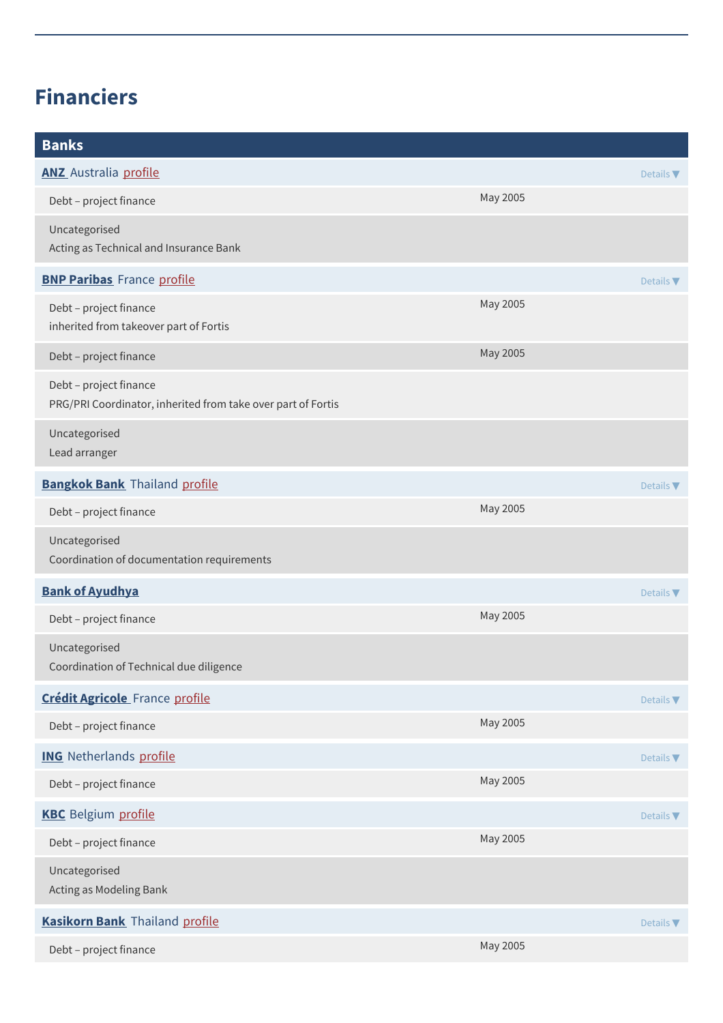# **Financiers**

| <b>Banks</b>                                                                           |          |                              |
|----------------------------------------------------------------------------------------|----------|------------------------------|
| <b>ANZ</b> Australia profile                                                           |          | Details $\blacktriangledown$ |
| Debt - project finance                                                                 | May 2005 |                              |
| Uncategorised<br>Acting as Technical and Insurance Bank                                |          |                              |
| <b>BNP Paribas</b> France profile                                                      |          | Details $\blacktriangledown$ |
| Debt - project finance<br>inherited from takeover part of Fortis                       | May 2005 |                              |
| Debt - project finance                                                                 | May 2005 |                              |
| Debt - project finance<br>PRG/PRI Coordinator, inherited from take over part of Fortis |          |                              |
| Uncategorised<br>Lead arranger                                                         |          |                              |
| <b>Bangkok Bank Thailand profile</b>                                                   |          | Details $\blacktriangledown$ |
| Debt - project finance                                                                 | May 2005 |                              |
| Uncategorised<br>Coordination of documentation requirements                            |          |                              |
| <b>Bank of Ayudhya</b>                                                                 |          | Details $\nabla$             |
| Debt - project finance                                                                 | May 2005 |                              |
| Uncategorised<br>Coordination of Technical due diligence                               |          |                              |
| <b>Crédit Agricole</b> France profile                                                  |          | Details $\blacktriangledown$ |
| Debt - project finance                                                                 | May 2005 |                              |
| <b>ING</b> Netherlands profile                                                         |          | Details <b>V</b>             |
| Debt - project finance                                                                 | May 2005 |                              |
| <b>KBC</b> Belgium profile                                                             |          | Details V                    |
| Debt - project finance                                                                 | May 2005 |                              |
| Uncategorised<br>Acting as Modeling Bank                                               |          |                              |
| Kasikorn Bank Thailand profile                                                         |          | Details $\nabla$             |
| Debt - project finance                                                                 | May 2005 |                              |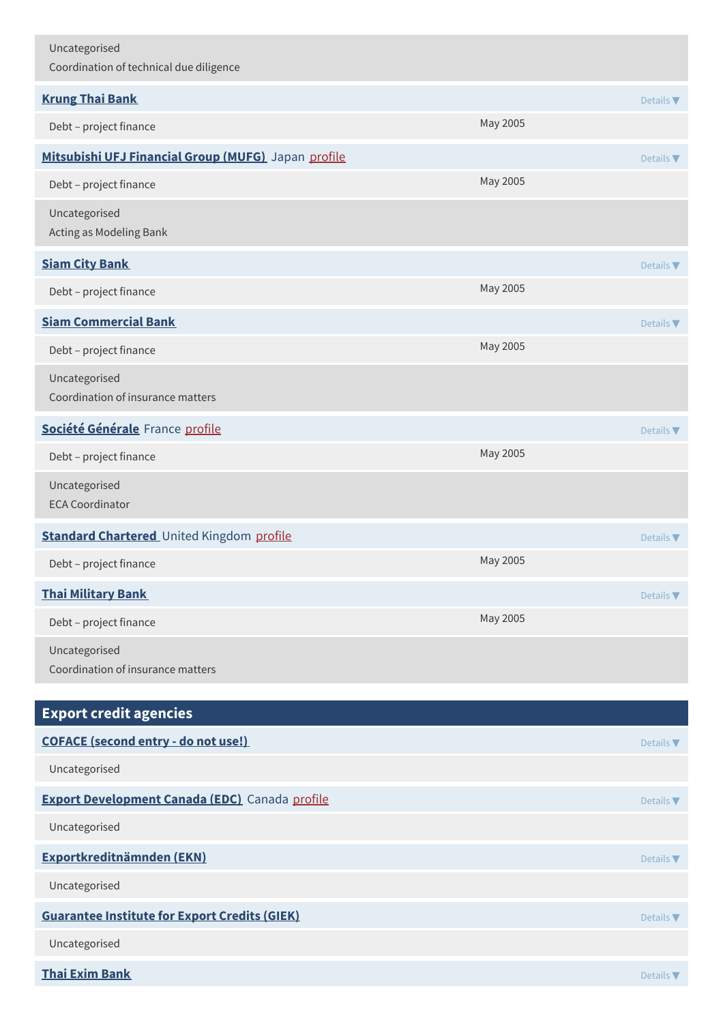| Uncategorised<br>Coordination of technical due diligence |          |                  |
|----------------------------------------------------------|----------|------------------|
| <b>Krung Thai Bank</b>                                   |          | Details <b>V</b> |
| Debt - project finance                                   | May 2005 |                  |
| Mitsubishi UFJ Financial Group (MUFG) Japan profile      |          | Details <b>V</b> |
| Debt - project finance                                   | May 2005 |                  |
| Uncategorised<br>Acting as Modeling Bank                 |          |                  |
| <b>Siam City Bank</b>                                    |          | Details $\nabla$ |
| Debt - project finance                                   | May 2005 |                  |
| <b>Siam Commercial Bank</b>                              |          | Details <b>V</b> |
| Debt - project finance                                   | May 2005 |                  |
| Uncategorised<br>Coordination of insurance matters       |          |                  |
| Société Générale France profile                          |          | Details $\nabla$ |
| Debt - project finance                                   | May 2005 |                  |
| Uncategorised<br><b>ECA Coordinator</b>                  |          |                  |
| <b>Standard Chartered</b> United Kingdom profile         |          | Details $\nabla$ |
| Debt - project finance                                   | May 2005 |                  |
| <b>Thai Military Bank</b>                                |          | Details $\nabla$ |
| Debt - project finance                                   | May 2005 |                  |
| Uncategorised<br>Coordination of insurance matters       |          |                  |
| <b>Export credit agencies</b>                            |          |                  |
| <b>COFACE (second entry - do not use!)</b>               |          | Details $\nabla$ |
| Uncategorised                                            |          |                  |
| <b>Export Development Canada (EDC)</b> Canada profile    |          | Details $\nabla$ |
| Uncategorised                                            |          |                  |
| Exportkreditnämnden (EKN)                                |          | Details $\nabla$ |
| Uncategorised                                            |          |                  |
| <b>Guarantee Institute for Export Credits (GIEK)</b>     |          | Details $\nabla$ |
| Uncategorised                                            |          |                  |
| <b>Thai Exim Bank</b>                                    |          | Details $\nabla$ |
|                                                          |          |                  |